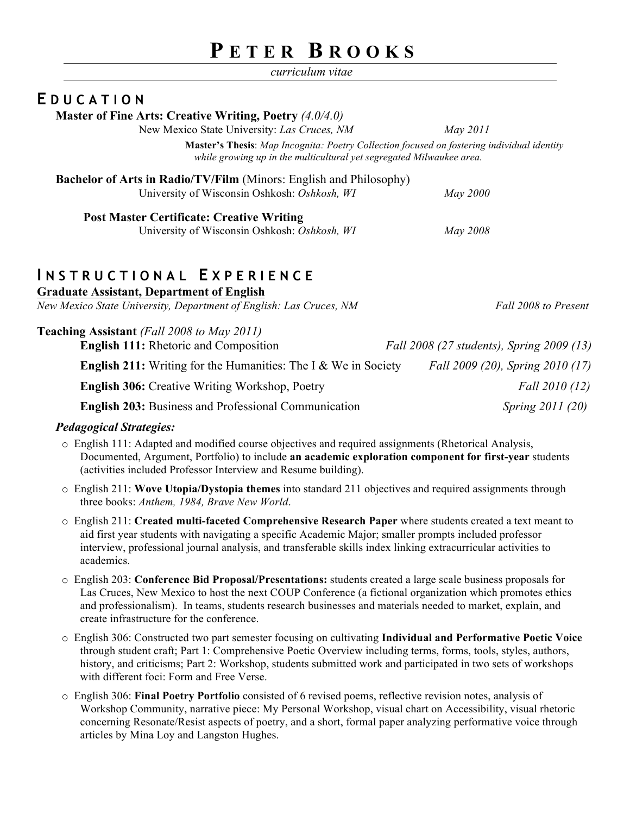# **P ETER B ROOKS**

*curriculum vitae*

# **E DUCATION**

#### **Master of Fine Arts: Creative Writing, Poetry** *(4.0/4.0)*

New Mexico State University: *Las Cruces, NM May 2011*

**Master's Thesis**: *Map Incognita: Poetry Collection focused on fostering individual identity while growing up in the multicultural yet segregated Milwaukee area.*

| <b>Bachelor of Arts in Radio/TV/Film (Minors: English and Philosophy)</b><br>University of Wisconsin Oshkosh: Oshkosh, WI | May 2000 |
|---------------------------------------------------------------------------------------------------------------------------|----------|
| <b>Post Master Certificate: Creative Writing</b><br>University of Wisconsin Oshkosh: Oshkosh, WI                          | May 2008 |

# **I NSTRUCTIONAL E XPERIENCE**

**Graduate Assistant, Department of English**

| New Mexico State University, Department of English: Las Cruces, NM       | Fall 2008 to Present                      |
|--------------------------------------------------------------------------|-------------------------------------------|
| <b>Teaching Assistant</b> (Fall 2008 to May 2011)                        |                                           |
| <b>English 111:</b> Rhetoric and Composition                             | Fall 2008 (27 students), Spring 2009 (13) |
| <b>English 211:</b> Writing for the Humanities: The I $\&$ We in Society | Fall 2009 (20), Spring 2010 (17)          |
| <b>English 306:</b> Creative Writing Workshop, Poetry                    | Fall 2010 (12)                            |
| <b>English 203:</b> Business and Professional Communication              | <i>Spring 2011 (20)</i>                   |

### *Pedagogical Strategies:*

- o English 111: Adapted and modified course objectives and required assignments (Rhetorical Analysis, Documented, Argument, Portfolio) to include **an academic exploration component for first-year** students (activities included Professor Interview and Resume building).
- o English 211: **Wove Utopia/Dystopia themes** into standard 211 objectives and required assignments through three books: *Anthem, 1984, Brave New World*.
- o English 211: **Created multi-faceted Comprehensive Research Paper** where students created a text meant to aid first year students with navigating a specific Academic Major; smaller prompts included professor interview, professional journal analysis, and transferable skills index linking extracurricular activities to academics.
- o English 203: **Conference Bid Proposal/Presentations:** students created a large scale business proposals for Las Cruces, New Mexico to host the next COUP Conference (a fictional organization which promotes ethics and professionalism). In teams, students research businesses and materials needed to market, explain, and create infrastructure for the conference.
- o English 306: Constructed two part semester focusing on cultivating **Individual and Performative Poetic Voice** through student craft; Part 1: Comprehensive Poetic Overview including terms, forms, tools, styles, authors, history, and criticisms; Part 2: Workshop, students submitted work and participated in two sets of workshops with different foci: Form and Free Verse.
- o English 306: **Final Poetry Portfolio** consisted of 6 revised poems, reflective revision notes, analysis of Workshop Community, narrative piece: My Personal Workshop, visual chart on Accessibility, visual rhetoric concerning Resonate/Resist aspects of poetry, and a short, formal paper analyzing performative voice through articles by Mina Loy and Langston Hughes.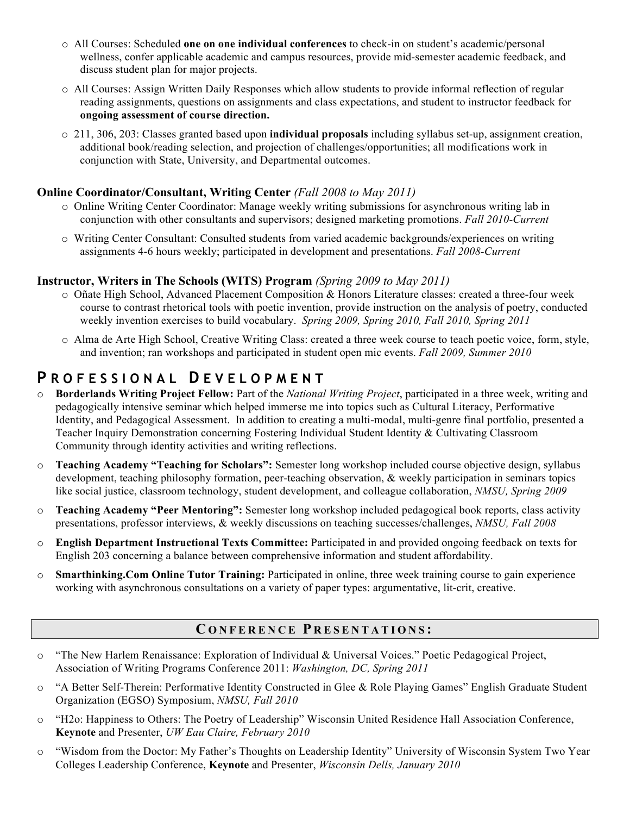- o All Courses: Scheduled **one on one individual conferences** to check-in on student's academic/personal wellness, confer applicable academic and campus resources, provide mid-semester academic feedback, and discuss student plan for major projects.
- o All Courses: Assign Written Daily Responses which allow students to provide informal reflection of regular reading assignments, questions on assignments and class expectations, and student to instructor feedback for **ongoing assessment of course direction.**
- o 211, 306, 203: Classes granted based upon **individual proposals** including syllabus set-up, assignment creation, additional book/reading selection, and projection of challenges/opportunities; all modifications work in conjunction with State, University, and Departmental outcomes.

#### **Online Coordinator/Consultant, Writing Center** *(Fall 2008 to May 2011)*

- o Online Writing Center Coordinator: Manage weekly writing submissions for asynchronous writing lab in conjunction with other consultants and supervisors; designed marketing promotions. *Fall 2010-Current*
- o Writing Center Consultant: Consulted students from varied academic backgrounds/experiences on writing assignments 4-6 hours weekly; participated in development and presentations. *Fall 2008-Current*

#### **Instructor, Writers in The Schools (WITS) Program** *(Spring 2009 to May 2011)*

- o Oñate High School, Advanced Placement Composition & Honors Literature classes: created a three-four week course to contrast rhetorical tools with poetic invention, provide instruction on the analysis of poetry, conducted weekly invention exercises to build vocabulary. *Spring 2009, Spring 2010, Fall 2010, Spring 2011*
- o Alma de Arte High School, Creative Writing Class: created a three week course to teach poetic voice, form, style, and invention; ran workshops and participated in student open mic events. *Fall 2009, Summer 2010*

# **P ROFESSIONAL D EVELOPMENT**

- o **Borderlands Writing Project Fellow:** Part of the *National Writing Project*, participated in a three week, writing and pedagogically intensive seminar which helped immerse me into topics such as Cultural Literacy, Performative Identity, and Pedagogical Assessment. In addition to creating a multi-modal, multi-genre final portfolio, presented a Teacher Inquiry Demonstration concerning Fostering Individual Student Identity & Cultivating Classroom Community through identity activities and writing reflections.
- o **Teaching Academy "Teaching for Scholars":** Semester long workshop included course objective design, syllabus development, teaching philosophy formation, peer-teaching observation, & weekly participation in seminars topics like social justice, classroom technology, student development, and colleague collaboration, *NMSU, Spring 2009*
- o **Teaching Academy "Peer Mentoring":** Semester long workshop included pedagogical book reports, class activity presentations, professor interviews, & weekly discussions on teaching successes/challenges, *NMSU, Fall 2008*
- o **English Department Instructional Texts Committee:** Participated in and provided ongoing feedback on texts for English 203 concerning a balance between comprehensive information and student affordability.
- o **Smarthinking.Com Online Tutor Training:** Participated in online, three week training course to gain experience working with asynchronous consultations on a variety of paper types: argumentative, lit-crit, creative.

## **C ONFERENCE P RESENTATIONS :**

- o "The New Harlem Renaissance: Exploration of Individual & Universal Voices." Poetic Pedagogical Project, Association of Writing Programs Conference 2011: *Washington, DC, Spring 2011*
- o "A Better Self-Therein: Performative Identity Constructed in Glee & Role Playing Games" English Graduate Student Organization (EGSO) Symposium, *NMSU, Fall 2010*
- o "H2o: Happiness to Others: The Poetry of Leadership" Wisconsin United Residence Hall Association Conference, **Keynote** and Presenter, *UW Eau Claire, February 2010*
- o "Wisdom from the Doctor: My Father's Thoughts on Leadership Identity" University of Wisconsin System Two Year Colleges Leadership Conference, **Keynote** and Presenter, *Wisconsin Dells, January 2010*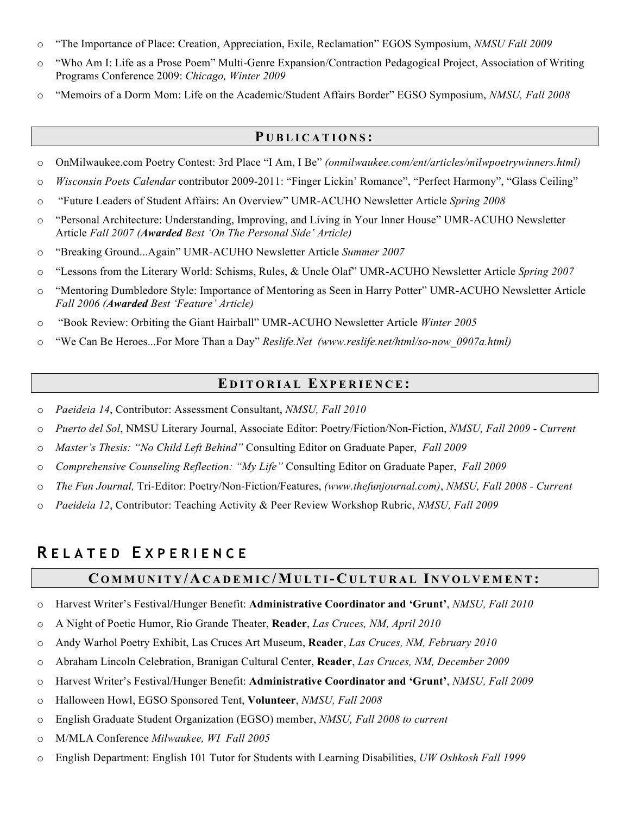- o "The Importance of Place: Creation, Appreciation, Exile, Reclamation" EGOS Symposium, *NMSU Fall 2009*
- o "Who Am I: Life as a Prose Poem" Multi-Genre Expansion/Contraction Pedagogical Project, Association of Writing Programs Conference 2009: *Chicago, Winter 2009*
- o "Memoirs of a Dorm Mom: Life on the Academic/Student Affairs Border" EGSO Symposium, *NMSU, Fall 2008*

# **P UBLICATIONS :**

- o OnMilwaukee.com Poetry Contest: 3rd Place "I Am, I Be" *(onmilwaukee.com/ent/articles/milwpoetrywinners.html)*
- o *Wisconsin Poets Calendar* contributor 2009-2011: "Finger Lickin' Romance", "Perfect Harmony", "Glass Ceiling"
- o "Future Leaders of Student Affairs: An Overview" UMR-ACUHO Newsletter Article *Spring 2008*
- o "Personal Architecture: Understanding, Improving, and Living in Your Inner House" UMR-ACUHO Newsletter Article *Fall 2007 (Awarded Best 'On The Personal Side' Article)*
- o "Breaking Ground...Again" UMR-ACUHO Newsletter Article *Summer 2007*
- o "Lessons from the Literary World: Schisms, Rules, & Uncle Olaf" UMR-ACUHO Newsletter Article *Spring 2007*
- o "Mentoring Dumbledore Style: Importance of Mentoring as Seen in Harry Potter" UMR-ACUHO Newsletter Article *Fall 2006 (Awarded Best 'Feature' Article)*
- o "Book Review: Orbiting the Giant Hairball" UMR-ACUHO Newsletter Article *Winter 2005*
- o "We Can Be Heroes...For More Than a Day" *Reslife.Net (www.reslife.net/html/so-now\_0907a.html)*

#### **E DITORIAL E XPERIENCE :**

- o *Paeideia 14*, Contributor: Assessment Consultant, *NMSU, Fall 2010*
- o *Puerto del Sol*, NMSU Literary Journal, Associate Editor: Poetry/Fiction/Non-Fiction, *NMSU, Fall 2009 - Current*
- o *Master's Thesis: "No Child Left Behind"* Consulting Editor on Graduate Paper, *Fall 2009*
- o *Comprehensive Counseling Reflection: "My Life"* Consulting Editor on Graduate Paper, *Fall 2009*
- o *The Fun Journal,* Tri-Editor: Poetry/Non-Fiction/Features, *(www.thefunjournal.com)*, *NMSU, Fall 2008 - Current*
- o *Paeideia 12*, Contributor: Teaching Activity & Peer Review Workshop Rubric, *NMSU, Fall 2009*

# **R E L ATED E XPERIENCE**

### **C OMMUNITY / A CADEMIC / MULTI- C ULTURAL I NVOLVEMENT :**

- o Harvest Writer's Festival/Hunger Benefit: **Administrative Coordinator and 'Grunt'**, *NMSU, Fall 2010*
- o A Night of Poetic Humor, Rio Grande Theater, **Reader**, *Las Cruces, NM, April 2010*
- o Andy Warhol Poetry Exhibit, Las Cruces Art Museum, **Reader**, *Las Cruces, NM, February 2010*
- o Abraham Lincoln Celebration, Branigan Cultural Center, **Reader**, *Las Cruces, NM, December 2009*
- o Harvest Writer's Festival/Hunger Benefit: **Administrative Coordinator and 'Grunt'**, *NMSU, Fall 2009*
- o Halloween Howl, EGSO Sponsored Tent, **Volunteer**, *NMSU, Fall 2008*
- o English Graduate Student Organization (EGSO) member, *NMSU, Fall 2008 to current*
- o M/MLA Conference *Milwaukee, WI Fall 2005*
- o English Department: English 101 Tutor for Students with Learning Disabilities, *UW Oshkosh Fall 1999*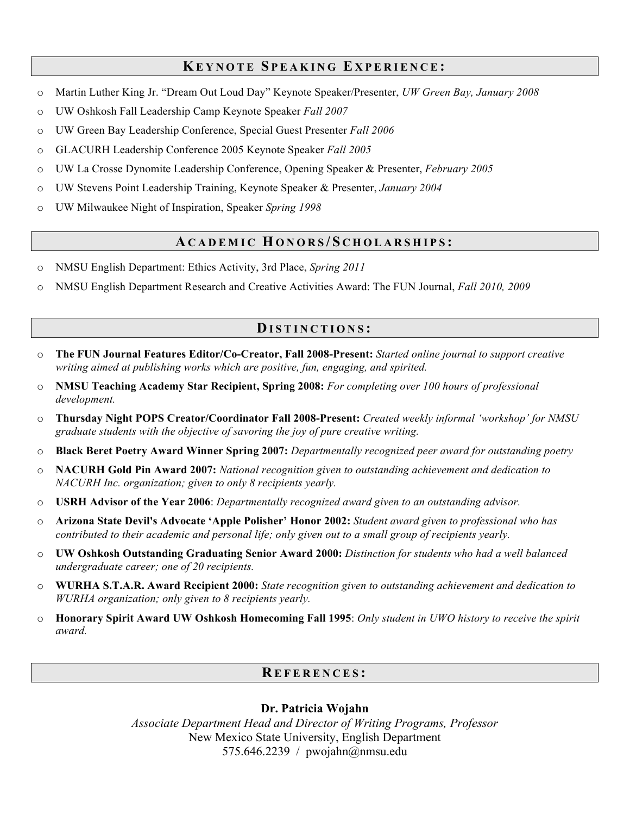# **KEYNOTE S PEAKING E XPERIENCE :**

- o Martin Luther King Jr. "Dream Out Loud Day" Keynote Speaker/Presenter, *UW Green Bay, January 2008*
- o UW Oshkosh Fall Leadership Camp Keynote Speaker *Fall 2007*
- o UW Green Bay Leadership Conference, Special Guest Presenter *Fall 2006*
- o GLACURH Leadership Conference 2005 Keynote Speaker *Fall 2005*
- o UW La Crosse Dynomite Leadership Conference, Opening Speaker & Presenter, *February 2005*
- o UW Stevens Point Leadership Training, Keynote Speaker & Presenter, *January 2004*
- o UW Milwaukee Night of Inspiration, Speaker *Spring 1998*

### **A CADEMIC HONORS / S CHOLARSHIPS :**

- o NMSU English Department: Ethics Activity, 3rd Place, *Spring 2011*
- o NMSU English Department Research and Creative Activities Award: The FUN Journal, *Fall 2010, 2009*

### **D ISTINCTIONS :**

- o **The FUN Journal Features Editor/Co-Creator, Fall 2008-Present:** *Started online journal to support creative writing aimed at publishing works which are positive, fun, engaging, and spirited.*
- o **NMSU Teaching Academy Star Recipient, Spring 2008:** *For completing over 100 hours of professional development.*
- o **Thursday Night POPS Creator/Coordinator Fall 2008-Present:** *Created weekly informal 'workshop' for NMSU graduate students with the objective of savoring the joy of pure creative writing.*
- o **Black Beret Poetry Award Winner Spring 2007:** *Departmentally recognized peer award for outstanding poetry*
- o **NACURH Gold Pin Award 2007:** *National recognition given to outstanding achievement and dedication to NACURH Inc. organization; given to only 8 recipients yearly.*
- o **USRH Advisor of the Year 2006**: *Departmentally recognized award given to an outstanding advisor.*
- o **Arizona State Devil's Advocate 'Apple Polisher' Honor 2002:** *Student award given to professional who has contributed to their academic and personal life; only given out to a small group of recipients yearly.*
- o **UW Oshkosh Outstanding Graduating Senior Award 2000:** *Distinction for students who had a well balanced undergraduate career; one of 20 recipients.*
- o **WURHA S.T.A.R. Award Recipient 2000:** *State recognition given to outstanding achievement and dedication to WURHA organization; only given to 8 recipients yearly.*
- o **Honorary Spirit Award UW Oshkosh Homecoming Fall 1995**: *Only student in UWO history to receive the spirit award.*

### **R EFERENCES :**

#### **Dr. Patricia Wojahn**

*Associate Department Head and Director of Writing Programs, Professor* New Mexico State University, English Department 575.646.2239 / pwojahn@nmsu.edu